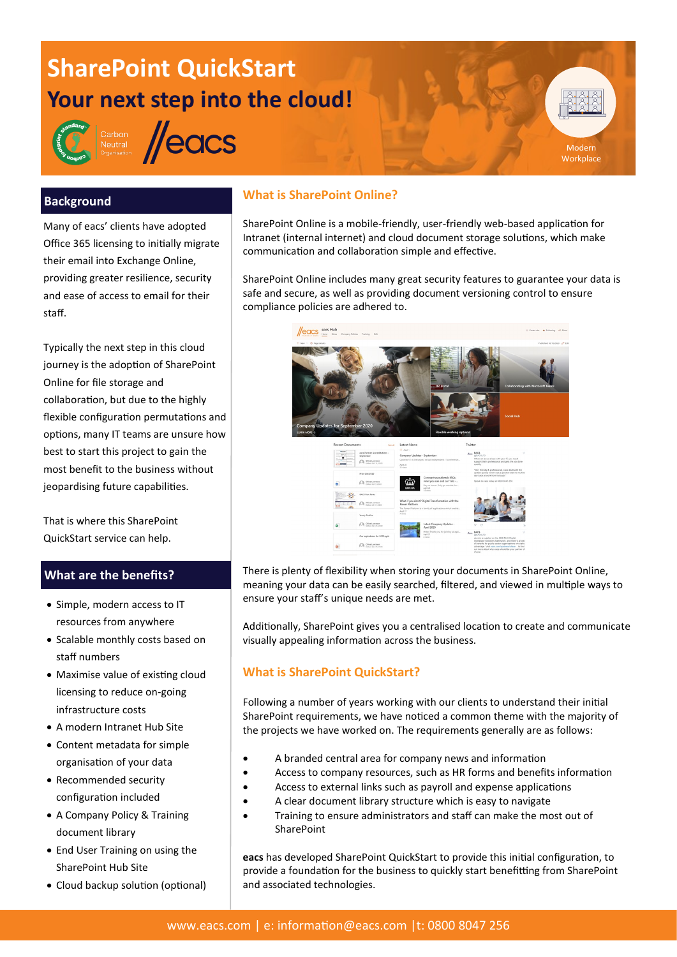# **SharePoint QuickStart Your next step into the cloud!**



Carbon<br>Neutral **//eacs** 

## **What is SharePoint Online?**

SharePoint Online is a mobile-friendly, user-friendly web-based application for Intranet (internal internet) and cloud document storage solutions, which make communication and collaboration simple and effective.

Modern **Workplace** 

SharePoint Online includes many great security features to guarantee your data is safe and secure, as well as providing document versioning control to ensure compliance policies are adhered to.



There is plenty of flexibility when storing your documents in SharePoint Online, meaning your data can be easily searched, filtered, and viewed in multiple ways to ensure your staff's unique needs are met.

Additionally, SharePoint gives you a centralised location to create and communicate visually appealing information across the business.

## **What is SharePoint QuickStart?**

Following a number of years working with our clients to understand their initial SharePoint requirements, we have noticed a common theme with the majority of the projects we have worked on. The requirements generally are as follows:

- A branded central area for company news and information
- Access to company resources, such as HR forms and benefits information
- Access to external links such as payroll and expense applications
- A clear document library structure which is easy to navigate
- Training to ensure administrators and staff can make the most out of **SharePoint**

**eacs** has developed SharePoint QuickStart to provide this initial configuration, to provide a foundation for the business to quickly start benefitting from SharePoint and associated technologies.

## **Background**

Many of eacs' clients have adopted Office 365 licensing to initially migrate their email into Exchange Online, providing greater resilience, security and ease of access to email for their staff.

Typically the next step in this cloud journey is the adoption of SharePoint Online for file storage and collaboration, but due to the highly flexible configuration permutations and options, many IT teams are unsure how best to start this project to gain the most benefit to the business without jeopardising future capabilities.

That is where this SharePoint QuickStart service can help.

## **What are the benefits?**

- Simple, modern access to IT resources from anywhere
- Scalable monthly costs based on staff numbers
- Maximise value of existing cloud licensing to reduce on-going infrastructure costs
- A modern Intranet Hub Site
- Content metadata for simple organisation of your data
- Recommended security configuration included
- A Company Policy & Training document library
- End User Training on using the SharePoint Hub Site
- Cloud backup solution (optional)